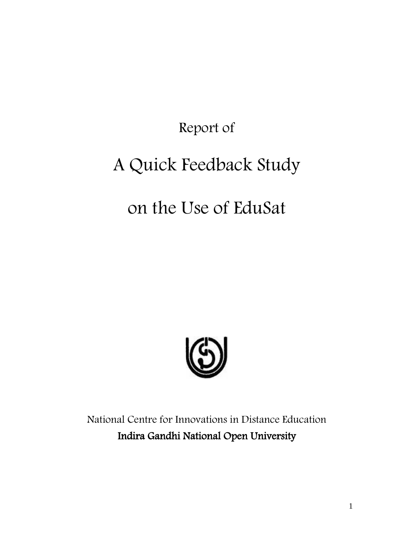Report of

# A Quick Feedback Study

## on the Use of EduSat



National Centre for Innovations in Distance Education Indira Gandhi National Open University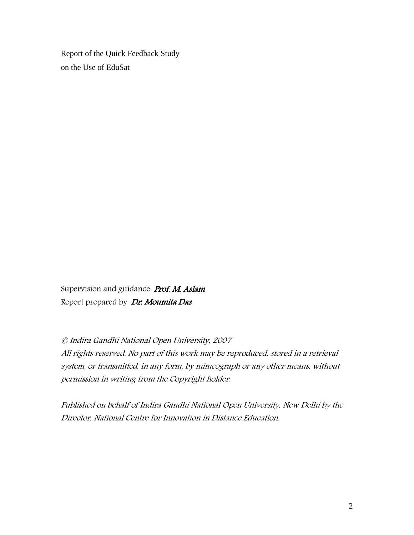Report of the Quick Feedback Study on the Use of EduSat

Supervision and guidance. Prof. M. Aslam Report prepared by: Dr. Moumita Das

© Indira Gandhi National Open University, 2007 All rights reserved. No part of this work may be reproduced, stored in a retrieval system, or transmitted, in any form, by mimeograph or any other means, without permission in writing from the Copyright holder.

Published on behalf of Indira Gandhi National Open University, New Delhi by the Director, National Centre for Innovation in Distance Education.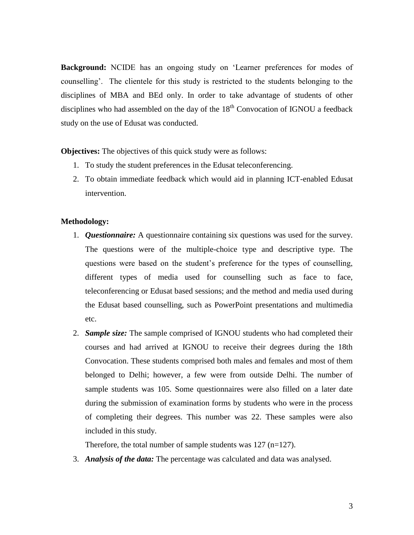**Background:** NCIDE has an ongoing study on 'Learner preferences for modes of counselling'. The clientele for this study is restricted to the students belonging to the disciplines of MBA and BEd only. In order to take advantage of students of other disciplines who had assembled on the day of the  $18<sup>th</sup>$  Convocation of IGNOU a feedback study on the use of Edusat was conducted.

**Objectives:** The objectives of this quick study were as follows:

- 1. To study the student preferences in the Edusat teleconferencing.
- 2. To obtain immediate feedback which would aid in planning ICT-enabled Edusat intervention.

#### **Methodology:**

- 1. *Questionnaire:* A questionnaire containing six questions was used for the survey. The questions were of the multiple-choice type and descriptive type. The questions were based on the student's preference for the types of counselling, different types of media used for counselling such as face to face, teleconferencing or Edusat based sessions; and the method and media used during the Edusat based counselling, such as PowerPoint presentations and multimedia etc.
- 2. *Sample size:* The sample comprised of IGNOU students who had completed their courses and had arrived at IGNOU to receive their degrees during the 18th Convocation. These students comprised both males and females and most of them belonged to Delhi; however, a few were from outside Delhi. The number of sample students was 105. Some questionnaires were also filled on a later date during the submission of examination forms by students who were in the process of completing their degrees. This number was 22. These samples were also included in this study.

Therefore, the total number of sample students was 127 (n=127).

3. *Analysis of the data:* The percentage was calculated and data was analysed.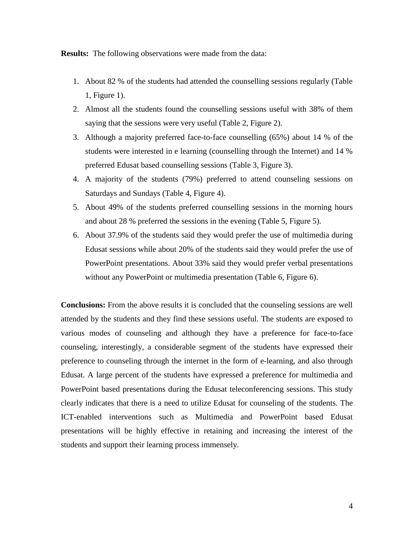**Results:** The following observations were made from the data:

- 1. About 82 % of the students had attended the counselling sessions regularly (Table 1, Figure 1).
- 2. Almost all the students found the counselling sessions useful with 38% of them saying that the sessions were very useful (Table 2, Figure 2).
- 3. Although a majority preferred face-to-face counselling (65%) about 14 % of the students were interested in e learning (counselling through the Internet) and 14 % preferred Edusat based counselling sessions (Table 3, Figure 3).
- 4. A majority of the students (79%) preferred to attend counseling sessions on Saturdays and Sundays (Table 4, Figure 4).
- 5. About 49% of the students preferred counselling sessions in the morning hours and about 28 % preferred the sessions in the evening (Table 5, Figure 5).
- 6. About 37.9% of the students said they would prefer the use of multimedia during Edusat sessions while about 20% of the students said they would prefer the use of PowerPoint presentations. About 33% said they would prefer verbal presentations without any PowerPoint or multimedia presentation (Table 6, Figure 6).

**Conclusions:** From the above results it is concluded that the counseling sessions are well attended by the students and they find these sessions useful. The students are exposed to various modes of counseling and although they have a preference for face-to-face counseling, interestingly, a considerable segment of the students have expressed their preference to counseling through the internet in the form of e-learning, and also through Edusat. A large percent of the students have expressed a preference for multimedia and PowerPoint based presentations during the Edusat teleconferencing sessions. This study clearly indicates that there is a need to utilize Edusat for counseling of the students. The ICT-enabled interventions such as Multimedia and PowerPoint based Edusat presentations will be highly effective in retaining and increasing the interest of the students and support their learning process immensely.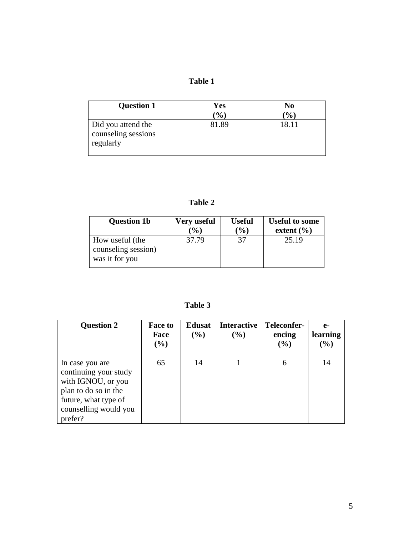### **Table 1**

| <b>Question 1</b>                                      | Yes              | No              |
|--------------------------------------------------------|------------------|-----------------|
|                                                        | $\mathcal{O}(0)$ | $\mathcal{O}_0$ |
| Did you attend the<br>counseling sessions<br>regularly | 81.89            | 18.11           |

**Table 2**

| <b>Question 1b</b>                                       | Very useful | <b>Useful</b>   | <b>Useful to some</b> |
|----------------------------------------------------------|-------------|-----------------|-----------------------|
|                                                          | (%)         | $\mathcal{O}_0$ | extent $(\% )$        |
| How useful (the<br>counseling session)<br>was it for you | 37.79       | 37              | 25.19                 |

 **Table 3**

| <b>Question 2</b>                                                                                                                                  | <b>Face to</b><br>Face<br>$(\%)$ | <b>Edusat</b><br>(%) | <b>Interactive</b><br>(%) | Teleconfer-<br>encing<br>$($ %) | $e-$<br>learning<br>(%) |
|----------------------------------------------------------------------------------------------------------------------------------------------------|----------------------------------|----------------------|---------------------------|---------------------------------|-------------------------|
| In case you are<br>continuing your study<br>with IGNOU, or you<br>plan to do so in the<br>future, what type of<br>counselling would you<br>prefer? | 65                               | 14                   |                           | 6                               | 14                      |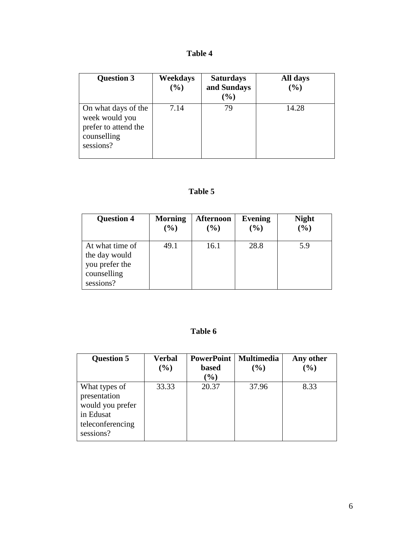| <b>Table 4</b> |
|----------------|
|                |

| <b>Question 3</b>                                                                         | <b>Weekdays</b><br>(%) | <b>Saturdays</b><br>and Sundays<br>$(\%)$ | All days<br>$(\%)$ |
|-------------------------------------------------------------------------------------------|------------------------|-------------------------------------------|--------------------|
| On what days of the<br>week would you<br>prefer to attend the<br>counselling<br>sessions? | 7.14                   | 79                                        | 14.28              |

### **Table 5**

| <b>Question 4</b>                                                              | <b>Morning</b> | <b>Afternoon</b>             | Evening | <b>Night</b> |
|--------------------------------------------------------------------------------|----------------|------------------------------|---------|--------------|
|                                                                                | (%)            | $\left( \frac{6}{6} \right)$ | (%)     | $(\%)$       |
| At what time of<br>the day would<br>you prefer the<br>counselling<br>sessions? | 49.1           | 16.1                         | 28.8    | 5.9          |

#### **Table 6**

| <b>Question 5</b>                                                                               | <b>Verbal</b><br>$($ %) | <b>PowerPoint</b><br><b>based</b><br>$(\%)$ | <b>Multimedia</b><br>$(\%)$ | Any other<br>(%) |
|-------------------------------------------------------------------------------------------------|-------------------------|---------------------------------------------|-----------------------------|------------------|
| What types of<br>presentation<br>would you prefer<br>in Edusat<br>teleconferencing<br>sessions? | 33.33                   | 20.37                                       | 37.96                       | 8.33             |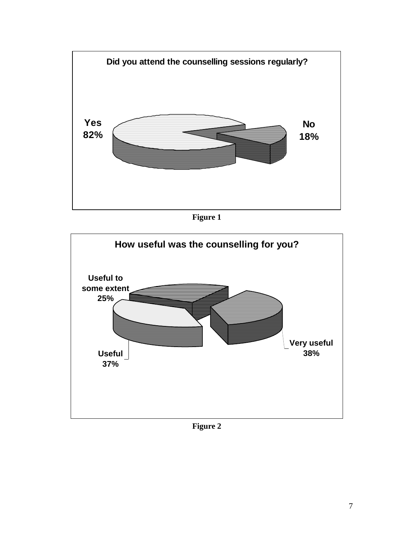

**Figure 1**



**Figure 2**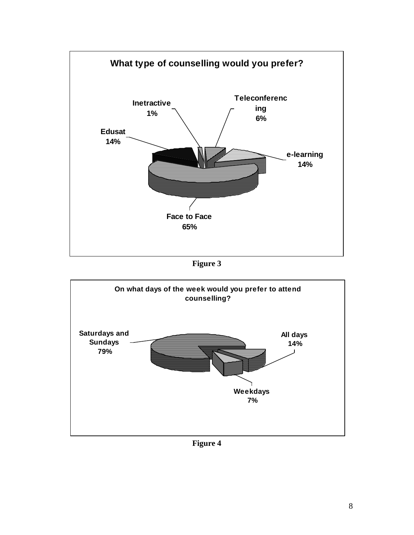

**Figure 3**



**Figure 4**